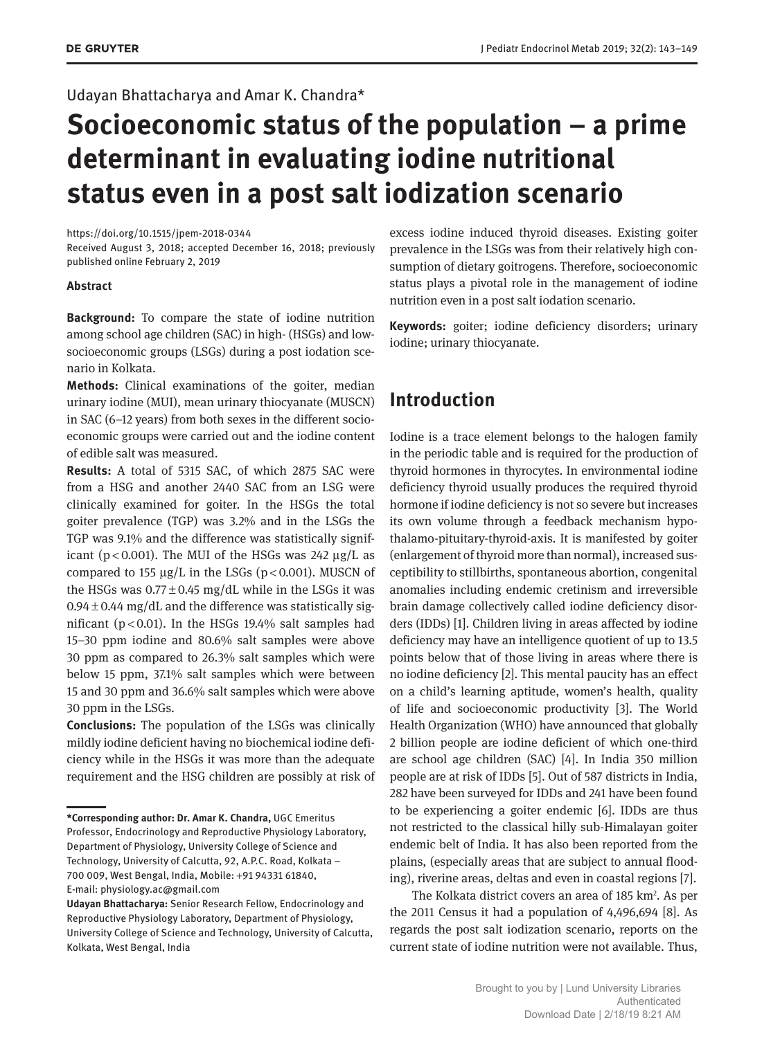### Udayan Bhattacharya and Amar K. Chandra\*

# **Socioeconomic status of the population – a prime determinant in evaluating iodine nutritional status even in a post salt iodization scenario**

#### https://doi.org/10.1515/jpem-2018-0344

Received August 3, 2018; accepted December 16, 2018; previously published online February 2, 2019

#### **Abstract**

**Background:** To compare the state of iodine nutrition among school age children (SAC) in high- (HSGs) and lowsocioeconomic groups (LSGs) during a post iodation scenario in Kolkata.

**Methods:** Clinical examinations of the goiter, median urinary iodine (MUI), mean urinary thiocyanate (MUSCN) in SAC (6–12 years) from both sexes in the different socioeconomic groups were carried out and the iodine content of edible salt was measured.

**Results:** A total of 5315 SAC, of which 2875 SAC were from a HSG and another 2440 SAC from an LSG were clinically examined for goiter. In the HSGs the total goiter prevalence (TGP) was 3.2% and in the LSGs the TGP was 9.1% and the difference was statistically significant ( $p < 0.001$ ). The MUI of the HSGs was 242  $\mu$ g/L as compared to 155  $\mu$ g/L in the LSGs (p < 0.001). MUSCN of the HSGs was  $0.77 \pm 0.45$  mg/dL while in the LSGs it was  $0.94 \pm 0.44$  mg/dL and the difference was statistically significant ( $p < 0.01$ ). In the HSGs 19.4% salt samples had 15–30 ppm iodine and 80.6% salt samples were above 30 ppm as compared to 26.3% salt samples which were below 15 ppm, 37.1% salt samples which were between 15 and 30 ppm and 36.6% salt samples which were above 30 ppm in the LSGs.

**Conclusions:** The population of the LSGs was clinically mildly iodine deficient having no biochemical iodine deficiency while in the HSGs it was more than the adequate requirement and the HSG children are possibly at risk of excess iodine induced thyroid diseases. Existing goiter prevalence in the LSGs was from their relatively high consumption of dietary goitrogens. Therefore, socioeconomic status plays a pivotal role in the management of iodine nutrition even in a post salt iodation scenario.

**Keywords:** goiter; iodine deficiency disorders; urinary iodine; urinary thiocyanate.

# **Introduction**

Iodine is a trace element belongs to the halogen family in the periodic table and is required for the production of thyroid hormones in thyrocytes. In environmental iodine deficiency thyroid usually produces the required thyroid hormone if iodine deficiency is not so severe but increases its own volume through a feedback mechanism hypothalamo-pituitary-thyroid-axis. It is manifested by goiter (enlargement of thyroid more than normal), increased susceptibility to stillbirths, spontaneous abortion, congenital anomalies including endemic cretinism and irreversible brain damage collectively called iodine deficiency disorders (IDDs) [1]. Children living in areas affected by iodine deficiency may have an intelligence quotient of up to 13.5 points below that of those living in areas where there is no iodine deficiency [2]. This mental paucity has an effect on a child's learning aptitude, women's health, quality of life and socioeconomic productivity [3]. The World Health Organization (WHO) have announced that globally 2 billion people are iodine deficient of which one-third are school age children (SAC) [4]. In India 350 million people are at risk of IDDs [5]. Out of 587 districts in India, 282 have been surveyed for IDDs and 241 have been found to be experiencing a goiter endemic [6]. IDDs are thus not restricted to the classical hilly sub-Himalayan goiter endemic belt of India. It has also been reported from the plains, (especially areas that are subject to annual flooding), riverine areas, deltas and even in coastal regions [7].

The Kolkata district covers an area of 185 km<sup>2</sup>. As per the 2011 Census it had a population of 4,496,694 [8]. As regards the post salt iodization scenario, reports on the current state of iodine nutrition were not available. Thus,

**<sup>\*</sup>Corresponding author: Dr. Amar K. Chandra,** UGC Emeritus Professor, Endocrinology and Reproductive Physiology Laboratory, Department of Physiology, University College of Science and Technology, University of Calcutta, 92, A.P.C. Road, Kolkata – 700 009, West Bengal, India, Mobile: +91 94331 61840, E-mail: physiology.ac@gmail.com

**Udayan Bhattacharya:** Senior Research Fellow, Endocrinology and Reproductive Physiology Laboratory, Department of Physiology, University College of Science and Technology, University of Calcutta, Kolkata, West Bengal, India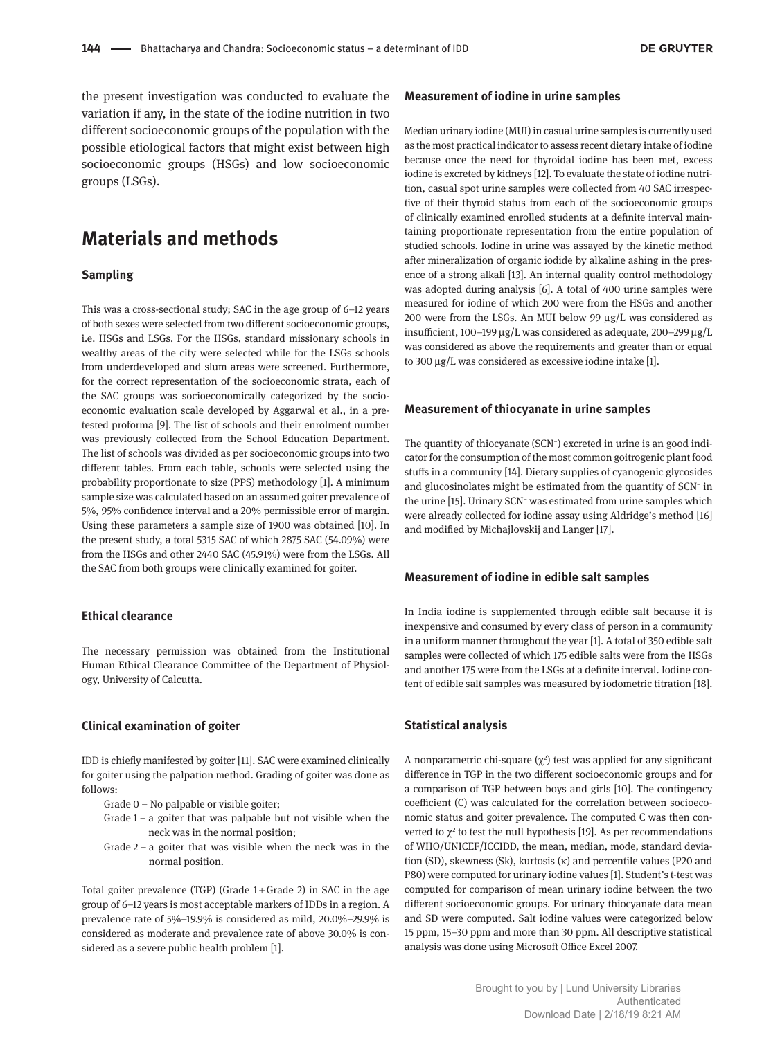the present investigation was conducted to evaluate the variation if any, in the state of the iodine nutrition in two different socioeconomic groups of the population with the possible etiological factors that might exist between high socioeconomic groups (HSGs) and low socioeconomic groups (LSGs).

# **Materials and methods**

#### **Sampling**

This was a cross-sectional study; SAC in the age group of 6–12 years of both sexes were selected from two different socioeconomic groups, i.e. HSGs and LSGs. For the HSGs, standard missionary schools in wealthy areas of the city were selected while for the LSGs schools from underdeveloped and slum areas were screened. Furthermore, for the correct representation of the socioeconomic strata, each of the SAC groups was socioeconomically categorized by the socioeconomic evaluation scale developed by Aggarwal et al., in a pretested proforma [9]. The list of schools and their enrolment number was previously collected from the School Education Department. The list of schools was divided as per socioeconomic groups into two different tables. From each table, schools were selected using the probability proportionate to size (PPS) methodology [1]. A minimum sample size was calculated based on an assumed goiter prevalence of 5%, 95% confidence interval and a 20% permissible error of margin. Using these parameters a sample size of 1900 was obtained [10]. In the present study, a total 5315 SAC of which 2875 SAC (54.09%) were from the HSGs and other 2440 SAC (45.91%) were from the LSGs. All the SAC from both groups were clinically examined for goiter.

#### **Ethical clearance**

The necessary permission was obtained from the Institutional Human Ethical Clearance Committee of the Department of Physiology, University of Calcutta.

#### **Clinical examination of goiter**

IDD is chiefly manifested by goiter [11]. SAC were examined clinically for goiter using the palpation method. Grading of goiter was done as follows:

- Grade 0 No palpable or visible goiter;
- Grade  $1 a$  goiter that was palpable but not visible when the neck was in the normal position;
- Grade 2 a goiter that was visible when the neck was in the normal position.

Total goiter prevalence (TGP) (Grade 1 + Grade 2) in SAC in the age group of 6–12 years is most acceptable markers of IDDs in a region. A prevalence rate of 5%–19.9% is considered as mild, 20.0%–29.9% is considered as moderate and prevalence rate of above 30.0% is considered as a severe public health problem [1].

#### **Measurement of iodine in urine samples**

Median urinary iodine (MUI) in casual urine samples is currently used as the most practical indicator to assess recent dietary intake of iodine because once the need for thyroidal iodine has been met, excess iodine is excreted by kidneys [12]. To evaluate the state of iodine nutrition, casual spot urine samples were collected from 40 SAC irrespective of their thyroid status from each of the socioeconomic groups of clinically examined enrolled students at a definite interval maintaining proportionate representation from the entire population of studied schools. Iodine in urine was assayed by the kinetic method after mineralization of organic iodide by alkaline ashing in the presence of a strong alkali [13]. An internal quality control methodology was adopted during analysis [6]. A total of 400 urine samples were measured for iodine of which 200 were from the HSGs and another 200 were from the LSGs. An MUI below 99 µg/L was considered as insufficient, 100–199 µg/L was considered as adequate, 200–299 µg/L was considered as above the requirements and greater than or equal to 300 µg/L was considered as excessive iodine intake [1].

#### **Measurement of thiocyanate in urine samples**

The quantity of thiocyanate (SCN<sup>−</sup> ) excreted in urine is an good indicator for the consumption of the most common goitrogenic plant food stuffs in a community [14]. Dietary supplies of cyanogenic glycosides and glucosinolates might be estimated from the quantity of SCN<sup>−</sup> in the urine [15]. Urinary SCN<sup>−</sup> was estimated from urine samples which were already collected for iodine assay using Aldridge's method [16] and modified by Michajlovskij and Langer [17].

#### **Measurement of iodine in edible salt samples**

In India iodine is supplemented through edible salt because it is inexpensive and consumed by every class of person in a community in a uniform manner throughout the year [1]. A total of 350 edible salt samples were collected of which 175 edible salts were from the HSGs and another 175 were from the LSGs at a definite interval. Iodine content of edible salt samples was measured by iodometric titration [18].

#### **Statistical analysis**

A nonparametric chi-square  $(\chi^2)$  test was applied for any significant difference in TGP in the two different socioeconomic groups and for a comparison of TGP between boys and girls [10]. The contingency coefficient (C) was calculated for the correlation between socioeconomic status and goiter prevalence. The computed C was then converted to  $\chi^2$  to test the null hypothesis [19]. As per recommendations of WHO/UNICEF/ICCIDD, the mean, median, mode, standard deviation (SD), skewness (Sk), kurtosis (κ) and percentile values (P20 and P80) were computed for urinary iodine values [1]. Student's t-test was computed for comparison of mean urinary iodine between the two different socioeconomic groups. For urinary thiocyanate data mean and SD were computed. Salt iodine values were categorized below 15 ppm, 15–30 ppm and more than 30 ppm. All descriptive statistical analysis was done using Microsoft Office Excel 2007.

> Brought to you by | Lund University Libraries Authenticated Download Date | 2/18/19 8:21 AM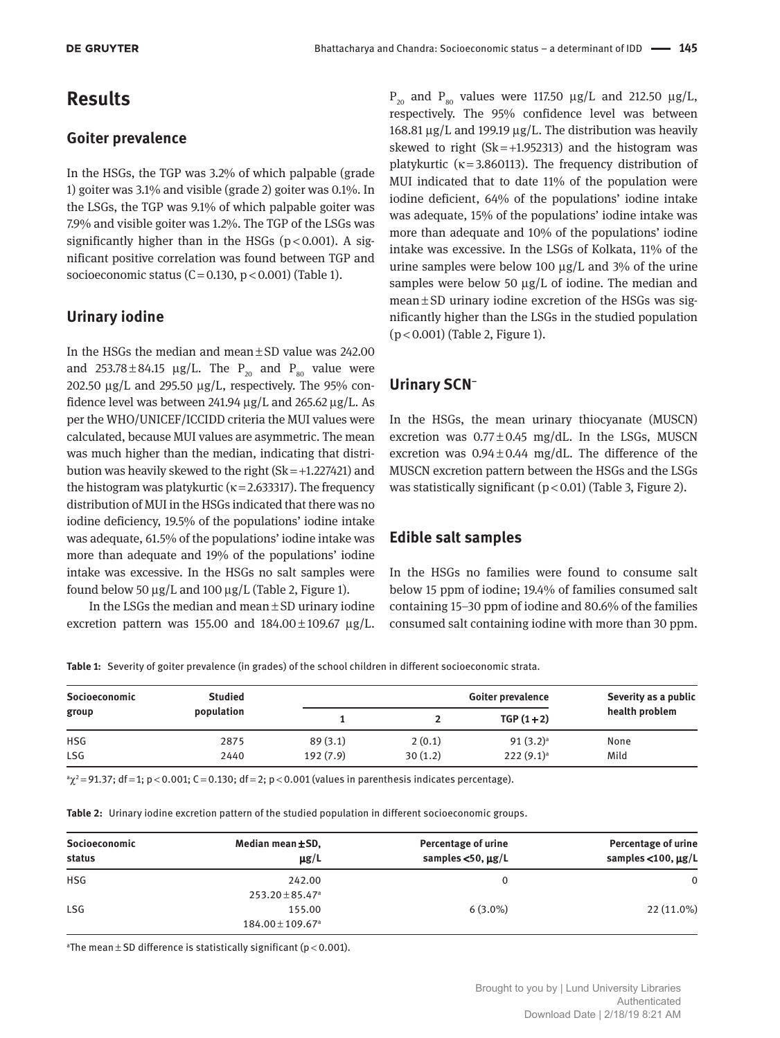# **Results**

### **Goiter prevalence**

In the HSGs, the TGP was 3.2% of which palpable (grade 1) goiter was 3.1% and visible (grade 2) goiter was 0.1%. In the LSGs, the TGP was 9.1% of which palpable goiter was 7.9% and visible goiter was 1.2%. The TGP of the LSGs was significantly higher than in the HSGs ( $p < 0.001$ ). A significant positive correlation was found between TGP and socioeconomic status (C = 0.130,  $p$  < 0.001) (Table 1).

### **Urinary iodine**

In the HSGs the median and mean ± SD value was 242.00 and 253.78 $\pm$ 84.15  $\mu$ g/L. The P<sub>20</sub> and P<sub>80</sub> value were 202.50  $\mu$ g/L and 295.50  $\mu$ g/L, respectively. The 95% confidence level was between 241.94 µg/L and 265.62 µg/L. As per the WHO/UNICEF/ICCIDD criteria the MUI values were calculated, because MUI values are asymmetric. The mean was much higher than the median, indicating that distribution was heavily skewed to the right  $(Sk=+1.227421)$  and the histogram was platykurtic ( $\kappa$  = 2.633317). The frequency distribution of MUI in the HSGs indicated that there was no iodine deficiency, 19.5% of the populations' iodine intake was adequate, 61.5% of the populations' iodine intake was more than adequate and 19% of the populations' iodine intake was excessive. In the HSGs no salt samples were found below 50  $\mu$ g/L and 100  $\mu$ g/L (Table 2, Figure 1).

In the LSGs the median and mean ± SD urinary iodine excretion pattern was 155.00 and  $184.00 \pm 109.67$   $\mu$ g/L.

 $P_{20}$  and  $P_{80}$  values were 117.50  $\mu$ g/L and 212.50  $\mu$ g/L, respectively. The 95% confidence level was between 168.81 µg/L and 199.19 µg/L. The distribution was heavily skewed to right  $(Sk=+1.952313)$  and the histogram was platykurtic ( $\kappa$ =3.860113). The frequency distribution of MUI indicated that to date 11% of the population were iodine deficient, 64% of the populations' iodine intake was adequate, 15% of the populations' iodine intake was more than adequate and 10% of the populations' iodine intake was excessive. In the LSGs of Kolkata, 11% of the urine samples were below 100  $\mu$ g/L and 3% of the urine samples were below 50 µg/L of iodine. The median and mean ± SD urinary iodine excretion of the HSGs was significantly higher than the LSGs in the studied population (p < 0.001) (Table 2, Figure 1).

### **Urinary SCN<sup>−</sup>**

In the HSGs, the mean urinary thiocyanate (MUSCN) excretion was  $0.77 \pm 0.45$  mg/dL. In the LSGs, MUSCN excretion was  $0.94 \pm 0.44$  mg/dL. The difference of the MUSCN excretion pattern between the HSGs and the LSGs was statistically significant  $(p < 0.01)$  (Table 3, Figure 2).

### **Edible salt samples**

In the HSGs no families were found to consume salt below 15 ppm of iodine; 19.4% of families consumed salt containing 15–30 ppm of iodine and 80.6% of the families consumed salt containing iodine with more than 30 ppm.

**Table 1:** Severity of goiter prevalence (in grades) of the school children in different socioeconomic strata.

| Socioeconomic<br>group | <b>Studied</b><br>population | Goiter prevalence |         |              | Severity as a public |
|------------------------|------------------------------|-------------------|---------|--------------|----------------------|
|                        |                              |                   |         | $TGP(1+2)$   | health problem       |
| <b>HSG</b>             | 2875                         | 89(3.1)           | 2(0.1)  | $91(3.2)^a$  | None                 |
| <b>LSG</b>             | 2440                         | 192(7.9)          | 30(1.2) | $222(9.1)^a$ | Mild                 |

 $a\chi^2$ = 91.37; df = 1; p < 0.001; C = 0.130; df = 2; p < 0.001 (values in parenthesis indicates percentage).

| Table 2: Urinary iodine excretion pattern of the studied population in different socioeconomic groups. |  |
|--------------------------------------------------------------------------------------------------------|--|
|--------------------------------------------------------------------------------------------------------|--|

| Median mean ±SD,<br>$\mu$ g/L   | Percentage of urine<br>samples $<$ 50, $\mu$ g/L | Percentage of urine<br>samples $<$ 100, $\mu$ g/L |
|---------------------------------|--------------------------------------------------|---------------------------------------------------|
| 242.00                          | 0                                                | $\Omega$                                          |
| $253.20 \pm 85.47$ <sup>a</sup> |                                                  |                                                   |
|                                 |                                                  | $22(11.0\%)$                                      |
|                                 | 155.00<br>$184.00 \pm 109.67$ <sup>a</sup>       | $6(3.0\%)$                                        |

<sup>a</sup>The mean $\pm$ SD difference is statistically significant (p < 0.001).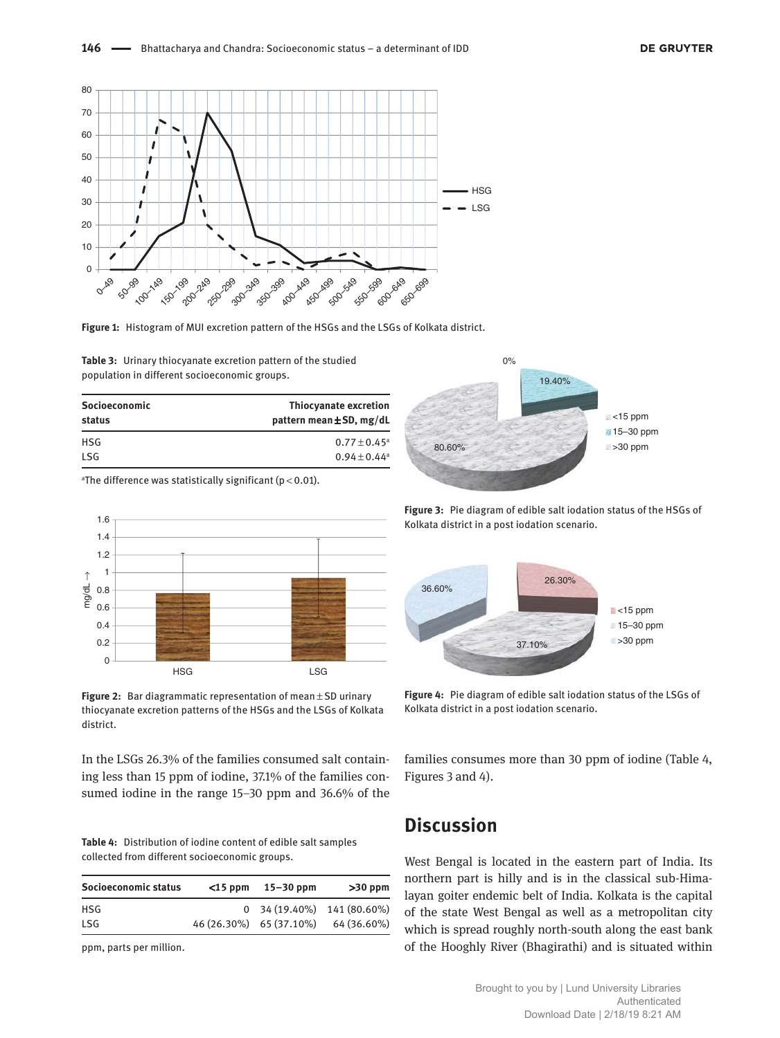



**Table 3:** Urinary thiocyanate excretion pattern of the studied population in different socioeconomic groups.

| Socioeconomic<br>status | Thiocyanate excretion<br>pattern mean $\pm$ SD, mg/dL |
|-------------------------|-------------------------------------------------------|
| <b>HSG</b>              | $0.77 \pm 0.45$ <sup>a</sup>                          |
| <b>LSG</b>              | $0.94 \pm 0.44^a$                                     |

<sup>a</sup>The difference was statistically significant ( $p < 0.01$ ).



**Figure 2:** Bar diagrammatic representation of mean ± SD urinary thiocyanate excretion patterns of the HSGs and the LSGs of Kolkata district.

In the LSGs 26.3% of the families consumed salt containing less than 15 ppm of iodine, 37.1% of the families consumed iodine in the range 15–30 ppm and 36.6% of the

**Table 4:** Distribution of iodine content of edible salt samples collected from different socioeconomic groups.

| Socioeconomic status | $<$ 15 ppm 15–30 ppm    | $>30$ ppm                    |
|----------------------|-------------------------|------------------------------|
| HSG.                 |                         | $0$ 34 (19.40%) 141 (80.60%) |
| <b>LSG</b>           | 46 (26.30%) 65 (37.10%) | 64 (36.60%)                  |

ppm, parts per million.



**Figure 3:** Pie diagram of edible salt iodation status of the HSGs of Kolkata district in a post iodation scenario.



**Figure 4:** Pie diagram of edible salt iodation status of the LSGs of Kolkata district in a post iodation scenario.

families consumes more than 30 ppm of iodine (Table 4, Figures 3 and 4).

# **Discussion**

West Bengal is located in the eastern part of India. Its northern part is hilly and is in the classical sub-Himalayan goiter endemic belt of India. Kolkata is the capital of the state West Bengal as well as a metropolitan city which is spread roughly north-south along the east bank of the Hooghly River (Bhagirathi) and is situated within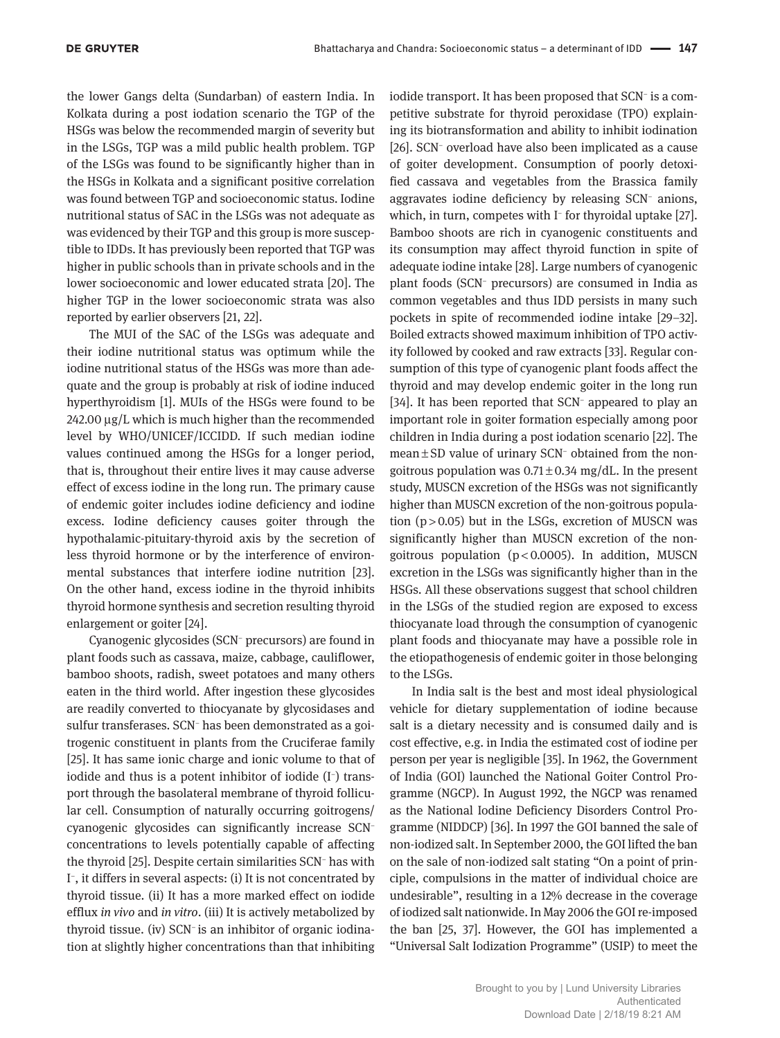the lower Gangs delta (Sundarban) of eastern India. In Kolkata during a post iodation scenario the TGP of the HSGs was below the recommended margin of severity but in the LSGs, TGP was a mild public health problem. TGP of the LSGs was found to be significantly higher than in the HSGs in Kolkata and a significant positive correlation was found between TGP and socioeconomic status. Iodine nutritional status of SAC in the LSGs was not adequate as was evidenced by their TGP and this group is more susceptible to IDDs. It has previously been reported that TGP was higher in public schools than in private schools and in the lower socioeconomic and lower educated strata [20]. The higher TGP in the lower socioeconomic strata was also reported by earlier observers [21, 22].

The MUI of the SAC of the LSGs was adequate and their iodine nutritional status was optimum while the iodine nutritional status of the HSGs was more than adequate and the group is probably at risk of iodine induced hyperthyroidism [1]. MUIs of the HSGs were found to be 242.00 µg/L which is much higher than the recommended level by WHO/UNICEF/ICCIDD. If such median iodine values continued among the HSGs for a longer period, that is, throughout their entire lives it may cause adverse effect of excess iodine in the long run. The primary cause of endemic goiter includes iodine deficiency and iodine excess. Iodine deficiency causes goiter through the hypothalamic-pituitary-thyroid axis by the secretion of less thyroid hormone or by the interference of environmental substances that interfere iodine nutrition [23]. On the other hand, excess iodine in the thyroid inhibits thyroid hormone synthesis and secretion resulting thyroid enlargement or goiter [24].

Cyanogenic glycosides (SCN<sup>−</sup> precursors) are found in plant foods such as cassava, maize, cabbage, cauliflower, bamboo shoots, radish, sweet potatoes and many others eaten in the third world. After ingestion these glycosides are readily converted to thiocyanate by glycosidases and sulfur transferases. SCN<sup>−</sup> has been demonstrated as a goitrogenic constituent in plants from the Cruciferae family [25]. It has same ionic charge and ionic volume to that of iodide and thus is a potent inhibitor of iodide (I<sup>−</sup> ) transport through the basolateral membrane of thyroid follicular cell. Consumption of naturally occurring goitrogens/ cyanogenic glycosides can significantly increase SCN<sup>−</sup> concentrations to levels potentially capable of affecting the thyroid [25]. Despite certain similarities SCN*<sup>−</sup>* has with I − , it differs in several aspects: (i) It is not concentrated by thyroid tissue. (ii) It has a more marked effect on iodide efflux *in vivo* and *in vitro*. (iii) It is actively metabolized by thyroid tissue. (iv) SCN<sup>−</sup> is an inhibitor of organic iodination at slightly higher concentrations than that inhibiting

iodide transport. It has been proposed that SCN*<sup>−</sup>* is a competitive substrate for thyroid peroxidase (TPO) explaining its biotransformation and ability to inhibit iodination [26]. SCN<sup>-</sup> overload have also been implicated as a cause of goiter development. Consumption of poorly detoxified cassava and vegetables from the Brassica family aggravates iodine deficiency by releasing SCN<sup>−</sup> anions, which, in turn, competes with I<sup>−</sup> for thyroidal uptake [27]. Bamboo shoots are rich in cyanogenic constituents and its consumption may affect thyroid function in spite of adequate iodine intake [28]. Large numbers of cyanogenic plant foods (SCN<sup>−</sup> precursors) are consumed in India as common vegetables and thus IDD persists in many such pockets in spite of recommended iodine intake [29–32]. Boiled extracts showed maximum inhibition of TPO activity followed by cooked and raw extracts [33]. Regular consumption of this type of cyanogenic plant foods affect the thyroid and may develop endemic goiter in the long run [34]. It has been reported that SCN<sup>-</sup> appeared to play an important role in goiter formation especially among poor children in India during a post iodation scenario [22]. The mean ± SD value of urinary SCN<sup>−</sup> obtained from the nongoitrous population was  $0.71 \pm 0.34$  mg/dL. In the present study, MUSCN excretion of the HSGs was not significantly higher than MUSCN excretion of the non-goitrous population  $(p > 0.05)$  but in the LSGs, excretion of MUSCN was significantly higher than MUSCN excretion of the nongoitrous population ( $p < 0.0005$ ). In addition, MUSCN excretion in the LSGs was significantly higher than in the HSGs. All these observations suggest that school children in the LSGs of the studied region are exposed to excess thiocyanate load through the consumption of cyanogenic plant foods and thiocyanate may have a possible role in the etiopathogenesis of endemic goiter in those belonging to the LSGs.

In India salt is the best and most ideal physiological vehicle for dietary supplementation of iodine because salt is a dietary necessity and is consumed daily and is cost effective, e.g. in India the estimated cost of iodine per person per year is negligible [35]. In 1962, the Government of India (GOI) launched the National Goiter Control Programme (NGCP). In August 1992, the NGCP was renamed as the National Iodine Deficiency Disorders Control Programme (NIDDCP) [36]. In 1997 the GOI banned the sale of non-iodized salt. In September 2000, the GOI lifted the ban on the sale of non-iodized salt stating "On a point of principle, compulsions in the matter of individual choice are undesirable", resulting in a 12% decrease in the coverage of iodized salt nationwide. In May 2006 the GOI re-imposed the ban [25, 37]. However, the GOI has implemented a "Universal Salt Iodization Programme" (USIP) to meet the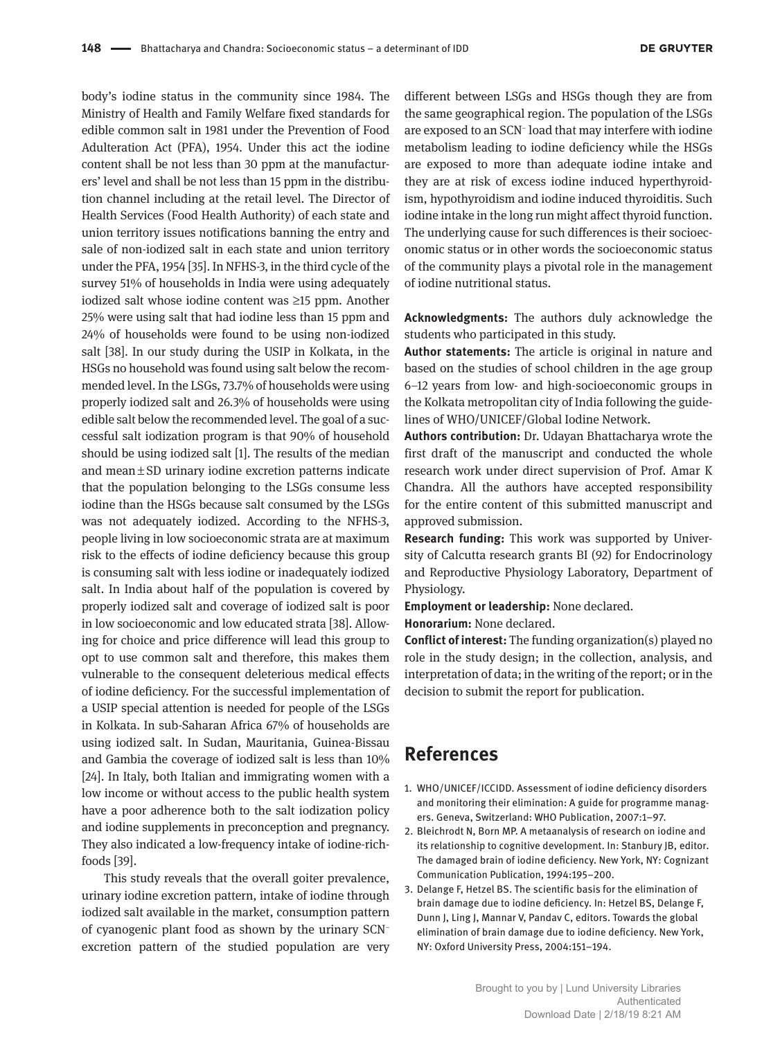body's iodine status in the community since 1984. The Ministry of Health and Family Welfare fixed standards for edible common salt in 1981 under the Prevention of Food Adulteration Act (PFA), 1954. Under this act the iodine content shall be not less than 30 ppm at the manufacturers' level and shall be not less than 15 ppm in the distribution channel including at the retail level. The Director of Health Services (Food Health Authority) of each state and union territory issues notifications banning the entry and sale of non-iodized salt in each state and union territory under the PFA, 1954 [35]. In NFHS-3, in the third cycle of the survey 51% of households in India were using adequately iodized salt whose iodine content was ≥15 ppm. Another 25% were using salt that had iodine less than 15 ppm and 24% of households were found to be using non-iodized salt [38]. In our study during the USIP in Kolkata, in the HSGs no household was found using salt below the recommended level. In the LSGs, 73.7% of households were using properly iodized salt and 26.3% of households were using edible salt below the recommended level. The goal of a successful salt iodization program is that 90% of household should be using iodized salt [1]. The results of the median and mean ± SD urinary iodine excretion patterns indicate that the population belonging to the LSGs consume less iodine than the HSGs because salt consumed by the LSGs was not adequately iodized. According to the NFHS-3, people living in low socioeconomic strata are at maximum risk to the effects of iodine deficiency because this group is consuming salt with less iodine or inadequately iodized salt. In India about half of the population is covered by properly iodized salt and coverage of iodized salt is poor in low socioeconomic and low educated strata [38]. Allowing for choice and price difference will lead this group to opt to use common salt and therefore, this makes them vulnerable to the consequent deleterious medical effects of iodine deficiency. For the successful implementation of a USIP special attention is needed for people of the LSGs in Kolkata. In sub-Saharan Africa 67% of households are using iodized salt. In Sudan, Mauritania, Guinea-Bissau and Gambia the coverage of iodized salt is less than 10% [24]. In Italy, both Italian and immigrating women with a low income or without access to the public health system have a poor adherence both to the salt iodization policy and iodine supplements in preconception and pregnancy. They also indicated a low-frequency intake of iodine-richfoods [39].

This study reveals that the overall goiter prevalence, urinary iodine excretion pattern, intake of iodine through iodized salt available in the market, consumption pattern of cyanogenic plant food as shown by the urinary SCN<sup>−</sup> excretion pattern of the studied population are very

different between LSGs and HSGs though they are from the same geographical region. The population of the LSGs are exposed to an SCN<sup>−</sup> load that may interfere with iodine metabolism leading to iodine deficiency while the HSGs are exposed to more than adequate iodine intake and they are at risk of excess iodine induced hyperthyroidism, hypothyroidism and iodine induced thyroiditis. Such iodine intake in the long run might affect thyroid function. The underlying cause for such differences is their socioeconomic status or in other words the socioeconomic status of the community plays a pivotal role in the management of iodine nutritional status.

**Acknowledgments:** The authors duly acknowledge the students who participated in this study.

**Author statements:** The article is original in nature and based on the studies of school children in the age group 6–12 years from low- and high-socioeconomic groups in the Kolkata metropolitan city of India following the guidelines of WHO/UNICEF/Global Iodine Network.

**Authors contribution:** Dr. Udayan Bhattacharya wrote the first draft of the manuscript and conducted the whole research work under direct supervision of Prof. Amar K Chandra. All the authors have accepted responsibility for the entire content of this submitted manuscript and approved submission.

**Research funding:** This work was supported by University of Calcutta research grants BI (92) for Endocrinology and Reproductive Physiology Laboratory, Department of Physiology.

**Employment or leadership:** None declared. **Honorarium:** None declared.

**Conflict of interest:** The funding organization(s) played no role in the study design; in the collection, analysis, and interpretation of data; in the writing of the report; or in the decision to submit the report for publication.

### **References**

- 1. WHO/UNICEF/ICCIDD. Assessment of iodine deficiency disorders and monitoring their elimination: A guide for programme managers. Geneva, Switzerland: WHO Publication, 2007:1–97.
- 2. Bleichrodt N, Born MP. A metaanalysis of research on iodine and its relationship to cognitive development. In: Stanbury JB, editor. The damaged brain of iodine deficiency. New York, NY: Cognizant Communication Publication, 1994:195–200.
- 3. Delange F, Hetzel BS. The scientific basis for the elimination of brain damage due to iodine deficiency. In: Hetzel BS, Delange F, Dunn J, Ling J, Mannar V, Pandav C, editors. Towards the global elimination of brain damage due to iodine deficiency. New York, NY: Oxford University Press, 2004:151–194.